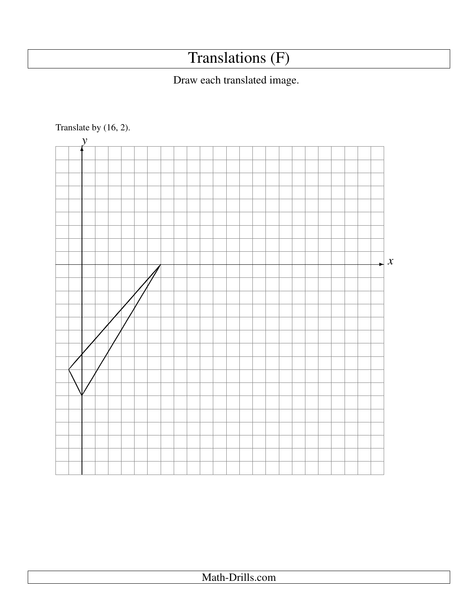## Translations (F)

## Draw each translated image.